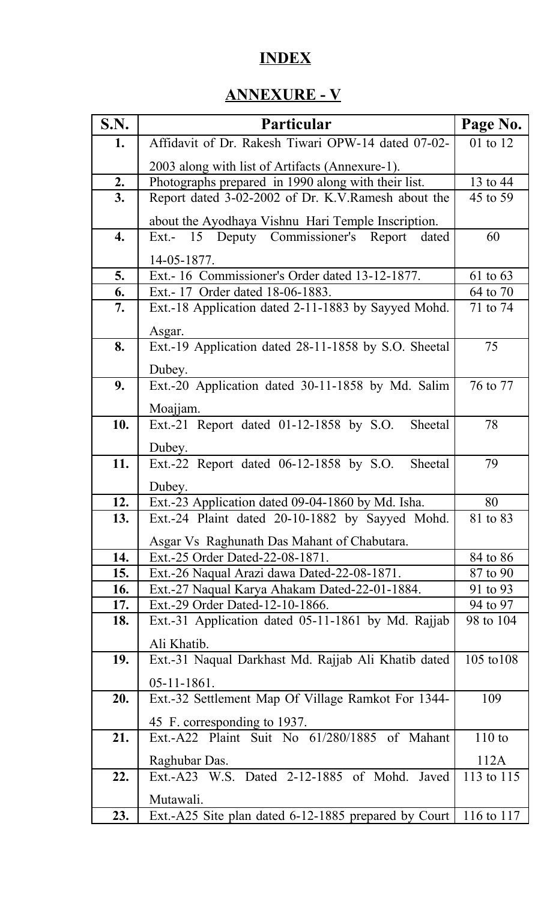## **INDEX**

## **ANNEXURE - V**

| S.N. | Particular                                           | Page No.   |
|------|------------------------------------------------------|------------|
| 1.   | Affidavit of Dr. Rakesh Tiwari OPW-14 dated 07-02-   | 01 to 12   |
|      | 2003 along with list of Artifacts (Annexure-1).      |            |
| 2.   | Photographs prepared in 1990 along with their list.  | 13 to 44   |
| 3.   | Report dated 3-02-2002 of Dr. K.V. Ramesh about the  | 45 to 59   |
|      | about the Ayodhaya Vishnu Hari Temple Inscription.   |            |
| 4.   | Ext.- 15 Deputy Commissioner's Report<br>dated       | 60         |
|      | 14-05-1877.                                          |            |
| 5.   | Ext.-16 Commissioner's Order dated 13-12-1877.       | 61 to 63   |
| 6.   | Ext. - 17 Order dated 18-06-1883.                    | 64 to 70   |
| 7.   | Ext.-18 Application dated 2-11-1883 by Sayyed Mohd.  | 71 to 74   |
|      | Asgar.                                               |            |
| 8.   | Ext.-19 Application dated 28-11-1858 by S.O. Sheetal | 75         |
|      | Dubey.                                               |            |
| 9.   | Ext.-20 Application dated 30-11-1858 by Md. Salim    | 76 to 77   |
|      |                                                      |            |
|      | Moajjam.                                             |            |
| 10.  | Ext.-21 Report dated 01-12-1858 by S.O.<br>Sheetal   | 78         |
|      | Dubey.                                               |            |
| 11.  | Ext.-22 Report dated 06-12-1858 by S.O.<br>Sheetal   | 79         |
|      | Dubey.                                               |            |
| 12.  | Ext.-23 Application dated 09-04-1860 by Md. Isha.    | 80         |
| 13.  | Ext.-24 Plaint dated 20-10-1882 by Sayyed Mohd.      | 81 to 83   |
|      | Asgar Vs Raghunath Das Mahant of Chabutara.          |            |
| 14.  | Ext.-25 Order Dated-22-08-1871.                      | 84 to 86   |
| 15.  | Ext.-26 Naqual Arazi dawa Dated-22-08-1871.          | 87 to 90   |
| 16.  | Ext.-27 Naqual Karya Ahakam Dated-22-01-1884.        | 91 to 93   |
| 17.  | Ext.-29 Order Dated-12-10-1866.                      | 94 to 97   |
| 18.  | Ext.-31 Application dated 05-11-1861 by Md. Rajjab   | 98 to 104  |
|      | Ali Khatib.                                          |            |
| 19.  | Ext.-31 Naqual Darkhast Md. Rajjab Ali Khatib dated  | 105 to 108 |
|      | $05 - 11 - 1861$ .                                   |            |
| 20.  | Ext.-32 Settlement Map Of Village Ramkot For 1344-   | 109        |
|      | 45 F. corresponding to 1937.                         |            |
| 21.  | Ext.-A22 Plaint Suit No 61/280/1885 of Mahant        | $110$ to   |
|      | Raghubar Das.                                        | 112A       |
| 22.  | Ext.-A23 W.S. Dated 2-12-1885 of Mohd.<br>Javed      | 113 to 115 |
|      |                                                      |            |
|      | Mutawali.                                            |            |
| 23.  | Ext.-A25 Site plan dated 6-12-1885 prepared by Court | 116 to 117 |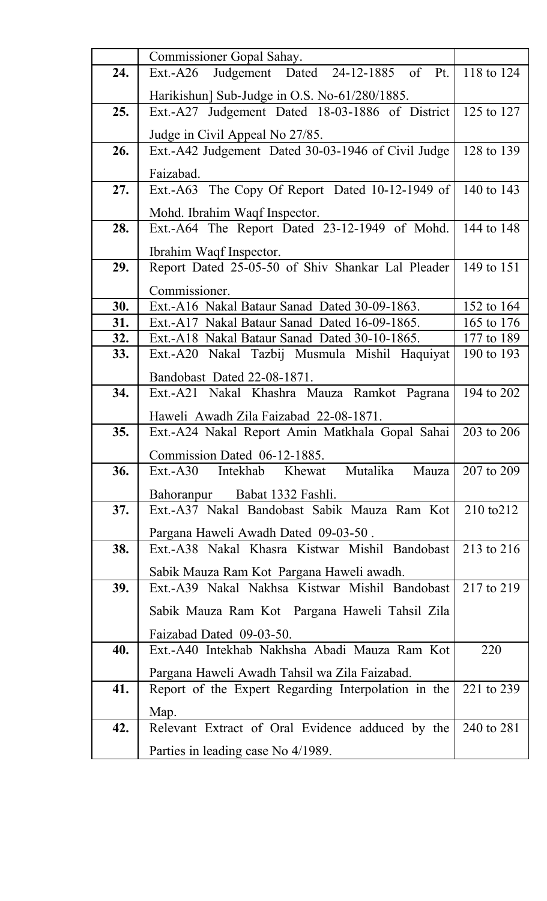| 24. | Commissioner Gopal Sahay.<br>Judgement Dated 24-12-1885 of Pt.            | 118 to 124 |
|-----|---------------------------------------------------------------------------|------------|
|     | Ext.-A26                                                                  |            |
|     | Harikishun] Sub-Judge in O.S. No-61/280/1885.                             |            |
| 25. | Ext.-A27 Judgement Dated 18-03-1886 of District                           | 125 to 127 |
|     | Judge in Civil Appeal No 27/85.                                           |            |
| 26. | Ext.-A42 Judgement Dated 30-03-1946 of Civil Judge                        | 128 to 139 |
|     |                                                                           |            |
| 27. | Faizabad.                                                                 | 140 to 143 |
|     | Ext.-A63 The Copy Of Report Dated 10-12-1949 of                           |            |
|     | Mohd. Ibrahim Waqf Inspector.                                             |            |
| 28. | Ext.-A64 The Report Dated 23-12-1949 of Mohd.                             | 144 to 148 |
|     | Ibrahim Waqf Inspector.                                                   |            |
| 29. | Report Dated 25-05-50 of Shiv Shankar Lal Pleader                         | 149 to 151 |
|     | Commissioner.                                                             |            |
| 30. | Ext.-A16 Nakal Bataur Sanad Dated 30-09-1863.                             | 152 to 164 |
| 31. | Ext.-A17 Nakal Bataur Sanad Dated 16-09-1865.                             | 165 to 176 |
| 32. | Ext.-A18 Nakal Bataur Sanad Dated 30-10-1865.                             | 177 to 189 |
| 33. | Ext.-A20 Nakal Tazbij Musmula Mishil Haquiyat                             | 190 to 193 |
|     |                                                                           |            |
|     | Bandobast Dated 22-08-1871.                                               |            |
| 34. | Ext.-A21 Nakal Khashra Mauza Ramkot Pagrana                               | 194 to 202 |
|     | Haweli Awadh Zila Faizabad 22-08-1871.                                    |            |
| 35. | Ext.-A24 Nakal Report Amin Matkhala Gopal Sahai                           | 203 to 206 |
|     | Commission Dated 06-12-1885.                                              |            |
| 36. | Mutalika<br>$Ext.-A30$<br>Intekhab<br>Khewat<br>Mauza                     | 207 to 209 |
|     | Bahoranpur Babat 1332 Fashli.                                             |            |
| 37. | Ext.-A37 Nakal Bandobast Sabik Mauza Ram Kot                              | 210 to 212 |
|     |                                                                           |            |
|     | Pargana Haweli Awadh Dated 09-03-50.                                      |            |
| 38. | Ext.-A38 Nakal Khasra Kistwar Mishil Bandobast                            | 213 to 216 |
|     | Sabik Mauza Ram Kot Pargana Haweli awadh.                                 |            |
| 39. | Ext.-A39 Nakal Nakhsa Kistwar Mishil Bandobast                            | 217 to 219 |
|     | Sabik Mauza Ram Kot Pargana Haweli Tahsil Zila                            |            |
|     |                                                                           |            |
| 40. | Faizabad Dated 09-03-50.<br>Ext.-A40 Intekhab Nakhsha Abadi Mauza Ram Kot | 220        |
|     |                                                                           |            |
|     | Pargana Haweli Awadh Tahsil wa Zila Faizabad.                             |            |
| 41. | Report of the Expert Regarding Interpolation in the                       | 221 to 239 |
|     | Map.                                                                      |            |
| 42. | Relevant Extract of Oral Evidence adduced by the                          | 240 to 281 |
|     | Parties in leading case No 4/1989.                                        |            |
|     |                                                                           |            |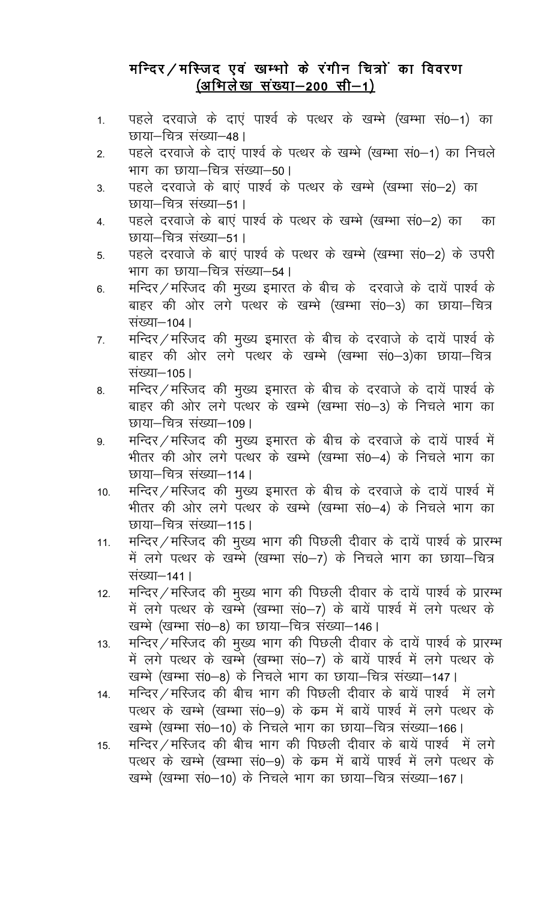## मन्दिर/मस्जिद एवं खम्भो के रंगीन चित्रों का विवरण (अभिलेख संख्या-200 सी-1)

- पहले दरवाजे के दाएं पार्श्व के पत्थर के खम्भे (खम्भा सं0-1) का  $1<sub>1</sub>$ छाया-चित्र संख्या-48।
- पहले दरवाजे के दाए पार्श्व के पत्थर के खम्भे (खम्भा सं0–1) का निचले  $2.$ भाग का छाया–चित्र संख्या–50।
- पहले दरवाजे के बाएं पार्श्व के पत्थर के खम्भे (खम्भा सं0-2) का  $3<sub>1</sub>$ छाया–चित्र संख्या–51।
- पहले दरवाजे के बाए पार्श्व के पत्थर के खम्भे (खम्भा स0-2) का का  $\overline{4}$ . छाया–चित्र संख्या–51।
- पहले दरवाजे के बाएं पार्श्व के पत्थर के खम्भे (खम्भा सं0-2) के उपरी 5. भाग का छाया–चित्र संख्या–54।
- मन्दिर / मस्जिद की मुख्य इमारत के बीच के दरवाजे के दायें पार्श्व के  $6.$ बाहर की ओर लगे पत्थर के खम्भे (खम्भा सं0-3) का छाया-चित्र संख्या-104।
- मन्दिर / मस्जिद की मुख्य इमारत के बीच के दरवाजे के दायें पार्श्व के  $\overline{7}$ . बाहर की ओर लगे पत्थर के खम्भे (खम्भा सं0-3)का छाया-चित्र संख्या-105।
- मन्दिर / मस्जिद की मुख्य इमारत के बीच के दरवाजे के दायें पार्श्व के 8. बाहर की ओर लगे पत्थर के खम्भे (खम्भा सं0-3) के निचले भाग का छाया–चित्र संख्या–109।
- मन्दिर / मस्जिद की मुख्य इमारत के बीच के दरवाजे के दायें पार्श्व में 9. भीतर की ओर लगे पत्थर के खम्भे (खम्भा सं0–4) के निचले भाग का छाया–चित्र संख्या–114।
- मन्दिर / मस्जिद की मुख्य इमारत के बीच के दरवाजे के दायें पार्श्व में  $10.$ भीतर की ओर लगे पत्थर के खम्भे (खम्भा सं0–4) के निचले भाग का छाया–चित्र संख्या–115।
- मन्दिर / मस्जिद की मुख्य भाग की पिछली दीवार के दायें पार्श्व के प्रारम्भ  $11.$ में लगे पत्थर के खम्भे (खम्भा सं0-7) के निचले भाग का छाया-चित्र संख्या–141 |
- मन्दिर / मस्जिद की मुख्य भाग की पिछली दीवार के दायें पार्श्व के प्रारम्भ  $12.$ में लगे पत्थर के खन्मे (खम्भा सं0-7) के बायें पार्श्व में लगे पत्थर के खम्भे (खम्भा सं0–8) का छाया–चित्र संख्या–146।
- मन्दिर / मस्जिद की मुख्य भाग की पिछली दीवार के दायें पार्श्व के प्रारम्भ  $13.$ में लगे पत्थर के खम्मे (खम्भा सं0-7) के बायें पार्श्व में लगे पत्थर के खम्भे (खम्भा सं0–8) के निचले भाग का छाया–चित्र संख्या–147।
- मन्दिर / मस्जिद की बीच भाग की पिछली दीवार के बायें पार्श्व में लगे  $14.$ पत्थर के खम्भे (खम्भा स0–9) के कम में बायें पार्श्व में लगे पत्थर के खम्भे (खम्भा सं0-10) के निचले भाग का छाया-चित्र संख्या-166।
- मन्दिर / मस्जिद की बीच भाग की पिछली दीवार के बायें पार्श्व में लगे  $15.$ पत्थर के खम्भे (खम्भा स0-9) के क्रम में बायें पार्श्व में लगे पत्थर के खम्भे (खम्भा सं0-10) के निचले भाग का छाया-चित्र संख्या-167।